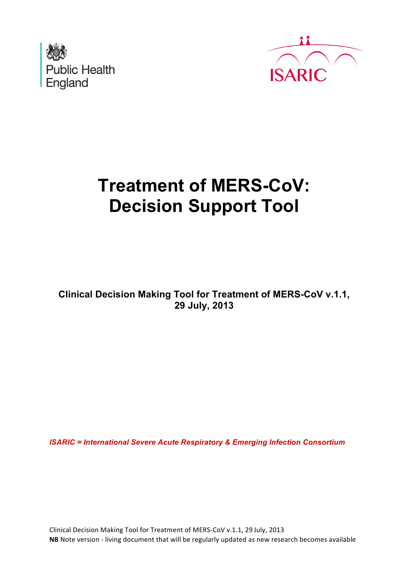



# **Treatment of MERS-CoV: Decision Support Tool**

**Clinical Decision Making Tool for Treatment of MERS-CoV v.1.1, 29 July, 2013**

*ISARIC = International Severe Acute Respiratory & Emerging Infection Consortium* 

Clinical Decision Making Tool for Treatment of MERS-CoV v.1.1, 29 July, 2013 **NB** Note version - living document that will be regularly updated as new research becomes available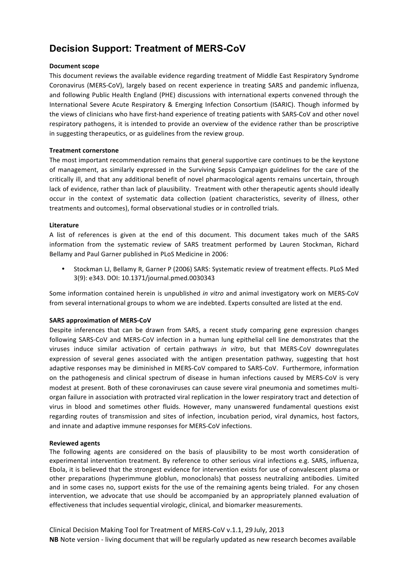## **Decision Support: Treatment of MERS-CoV**

## **Document scope**

This document reviews the available evidence regarding treatment of Middle East Respiratory Syndrome Coronavirus (MERS-CoV), largely based on recent experience in treating SARS and pandemic influenza, and following Public Health England (PHE) discussions with international experts convened through the International Severe Acute Respiratory & Emerging Infection Consortium (ISARIC). Though informed by the views of clinicians who have first-hand experience of treating patients with SARS-CoV and other novel respiratory pathogens, it is intended to provide an overview of the evidence rather than be proscriptive in suggesting therapeutics, or as guidelines from the review group.

## **Treatment cornerstone**

The most important recommendation remains that general supportive care continues to be the keystone of management, as similarly expressed in the Surviving Sepsis Campaign guidelines for the care of the critically ill, and that any additional benefit of novel pharmacological agents remains uncertain, through lack of evidence, rather than lack of plausibility. Treatment with other therapeutic agents should ideally occur in the context of systematic data collection (patient characteristics, severity of illness, other treatments and outcomes), formal observational studies or in controlled trials.

## **Literature**

A list of references is given at the end of this document. This document takes much of the SARS information from the systematic review of SARS treatment performed by Lauren Stockman, Richard Bellamy and Paul Garner published in PLoS Medicine in 2006:

Stockman LJ, Bellamy R, Garner P (2006) SARS: Systematic review of treatment effects. PLoS Med 3(9): e343. DOI: 10.1371/journal.pmed.0030343 

Some information contained herein is unpublished *in vitro* and animal investigatory work on MERS-CoV from several international groups to whom we are indebted. Experts consulted are listed at the end.

## **SARS approximation of MERS-CoV**

Despite inferences that can be drawn from SARS, a recent study comparing gene expression changes following SARS-CoV and MERS-CoV infection in a human lung epithelial cell line demonstrates that the viruses induce similar activation of certain pathways *in vitro*, but that MERS-CoV downregulates expression of several genes associated with the antigen presentation pathway, suggesting that host adaptive responses may be diminished in MERS-CoV compared to SARS-CoV. Furthermore, information on the pathogenesis and clinical spectrum of disease in human infections caused by MERS-CoV is very modest at present. Both of these coronaviruses can cause severe viral pneumonia and sometimes multiorgan failure in association with protracted viral replication in the lower respiratory tract and detection of virus in blood and sometimes other fluids. However, many unanswered fundamental questions exist regarding routes of transmission and sites of infection, incubation period, viral dynamics, host factors, and innate and adaptive immune responses for MERS-CoV infections.

## **Reviewed agents**

The following agents are considered on the basis of plausibility to be most worth consideration of experimental intervention treatment. By reference to other serious viral infections e.g. SARS, influenza, Ebola, it is believed that the strongest evidence for intervention exists for use of convalescent plasma or other preparations (hyperimmune globlun, monoclonals) that possess neutralizing antibodies. Limited and in some cases no, support exists for the use of the remaining agents being trialed. For any chosen intervention, we advocate that use should be accompanied by an appropriately planned evaluation of effectiveness that includes sequential virologic, clinical, and biomarker measurements.

Clinical Decision Making Tool for Treatment of MERS-CoV v.1.1, 29 July, 2013 **NB** Note version - living document that will be regularly updated as new research becomes available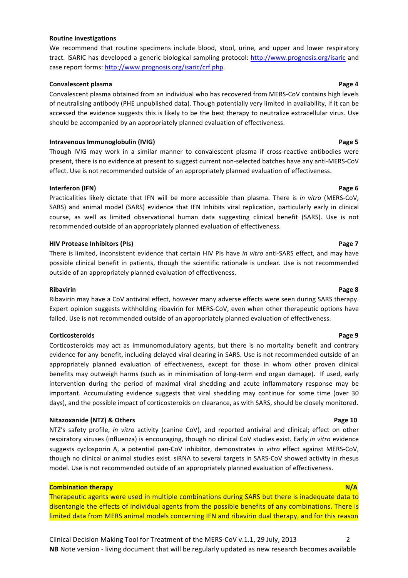#### **Routine investigations**

We recommend that routine specimens include blood, stool, urine, and upper and lower respiratory tract. ISARIC has developed a generic biological sampling protocol: http://www.prognosis.org/isaric and case report forms: http://www.prognosis.org/isaric/crf.php.

### **Convalescent plasma by the convention of the convention of the convention of the convention of the convention of the convention of the convention of the convention of the convention of the convention of the convention o**

Convalescent plasma obtained from an individual who has recovered from MERS-CoV contains high levels of neutralising antibody (PHE unpublished data). Though potentially very limited in availability, if it can be accessed the evidence suggests this is likely to be the best therapy to neutralize extracellular virus. Use should be accompanied by an appropriately planned evaluation of effectiveness.

### **Intravenous Immunoglobulin** (IVIG) *Dage 5*

Though IVIG may work in a similar manner to convalescent plasma if cross-reactive antibodies were present, there is no evidence at present to suggest current non-selected batches have any anti-MERS-CoV effect. Use is not recommended outside of an appropriately planned evaluation of effectiveness.

### **Interferon (IFN) Dege 6**

Practicalities likely dictate that IFN will be more accessible than plasma. There is *in vitro* (MERS-CoV, SARS) and animal model (SARS) evidence that IFN Inhibits viral replication, particularly early in clinical course, as well as limited observational human data suggesting clinical benefit (SARS). Use is not recommended outside of an appropriately planned evaluation of effectiveness.

#### **HIV** Protease Inhibitors (PIs) **All and Solution** *n name is a set of the set of the set of the set of the set of the set of the set of the set of the set of the set of the set of the set of the set of the set of the*

There is limited, inconsistent evidence that certain HIV PIs have *in vitro* anti-SARS effect, and may have possible clinical benefit in patients, though the scientific rationale is unclear. Use is not recommended outside of an appropriately planned evaluation of effectiveness.

#### **Ribavirin Page 8**

Ribavirin may have a CoV antiviral effect, however many adverse effects were seen during SARS therapy. Expert opinion suggests withholding ribavirin for MERS-CoV, even when other therapeutic options have failed. Use is not recommended outside of an appropriately planned evaluation of effectiveness.

### **Corticosteroids Page 9**

Corticosteroids may act as immunomodulatory agents, but there is no mortality benefit and contrary evidence for any benefit, including delayed viral clearing in SARS. Use is not recommended outside of an appropriately planned evaluation of effectiveness, except for those in whom other proven clinical benefits may outweigh harms (such as in minimisation of long-term end organ damage). If used, early intervention during the period of maximal viral shedding and acute inflammatory response may be important. Accumulating evidence suggests that viral shedding may continue for some time (over 30 days), and the possible impact of corticosteroids on clearance, as with SARS, should be closely monitored.

#### **Nitazoxanide (NTZ) & Others Page 10**

NTZ's safety profile, *in vitro* activity (canine CoV), and reported antiviral and clinical; effect on other respiratory viruses (influenza) is encouraging, though no clinical CoV studies exist. Early *in vitro* evidence suggests cyclosporin A, a potential pan-CoV inhibitor, demonstrates *in vitro* effect against MERS-CoV, though no clinical or animal studies exist. siRNA to several targets in SARS-CoV showed activity in rhesus model. Use is not recommended outside of an appropriately planned evaluation of effectiveness.

### **Combination therapy N/A**

Therapeutic agents were used in multiple combinations during SARS but there is inadequate data to disentangle the effects of individual agents from the possible benefits of any combinations. There is limited data from MERS animal models concerning IFN and ribavirin dual therapy, and for this reason

Clinical Decision Making Tool for Treatment of the MERS-CoV v.1.1, 29 July, 2013 2 **NB** Note version - living document that will be regularly updated as new research becomes available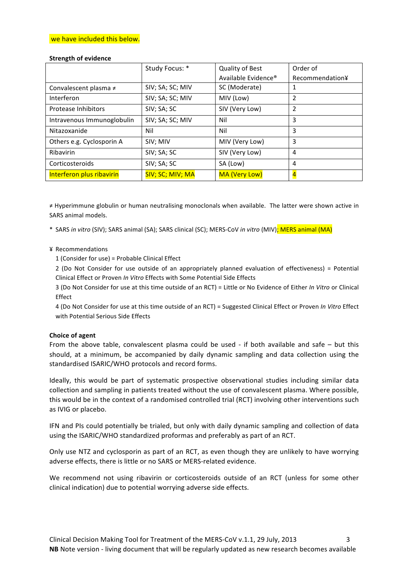### we have included this below.

## **Strength of evidence**

|                            | Study Focus: *   | Quality of Best     | Order of        |
|----------------------------|------------------|---------------------|-----------------|
|                            |                  | Available Evidence® | Recommendation¥ |
| Convalescent plasma ≠      | SIV; SA; SC; MIV | SC (Moderate)       | 1               |
| Interferon                 | SIV; SA; SC; MIV | MIV (Low)           | $\overline{2}$  |
| <b>Protease Inhibitors</b> | SIV; SA; SC      | SIV (Very Low)      | $\overline{2}$  |
| Intravenous Immunoglobulin | SIV; SA; SC; MIV | Nil                 | 3               |
| Nitazoxanide               | Nil              | Nil                 | 3               |
| Others e.g. Cyclosporin A  | SIV; MIV         | MIV (Very Low)      | 3               |
| Ribavirin                  | SIV; SA; SC      | SIV (Very Low)      | 4               |
| Corticosteroids            | SIV; SA; SC      | SA (Low)            | $\overline{4}$  |
| Interferon plus ribavirin  | SIV; SC; MIV; MA | MA (Very Low)       | $\overline{4}$  |

≠ Hyperimmune globulin or human neutralising monoclonals when available. The latter were shown active in SARS animal models.

\* SARS *in vitro* (SIV); SARS animal (SA); SARS clinical (SC); MERS-CoV *in vitro* (MIV); MERS animal (MA)

### ¥ Recommendations

 $1$  (Consider for use) = Probable Clinical Effect

2 (Do Not Consider for use outside of an appropriately planned evaluation of effectiveness) = Potential Clinical Effect or Proven *In Vitro* Effects with Some Potential Side Effects

3 (Do Not Consider for use at this time outside of an RCT) = Little or No Evidence of Either *In Vitro* or Clinical Effect

4 (Do Not Consider for use at this time outside of an RCT) = Suggested Clinical Effect or Proven *In Vitro* Effect with Potential Serious Side Effects

## **Choice of agent**

From the above table, convalescent plasma could be used - if both available and safe – but this should, at a minimum, be accompanied by daily dynamic sampling and data collection using the standardised ISARIC/WHO protocols and record forms.

Ideally, this would be part of systematic prospective observational studies including similar data collection and sampling in patients treated without the use of convalescent plasma. Where possible, this would be in the context of a randomised controlled trial (RCT) involving other interventions such as IVIG or placebo.

IFN and PIs could potentially be trialed, but only with daily dynamic sampling and collection of data using the ISARIC/WHO standardized proformas and preferably as part of an RCT.

Only use NTZ and cyclosporin as part of an RCT, as even though they are unlikely to have worrying adverse effects, there is little or no SARS or MERS-related evidence.

We recommend not using ribavirin or corticosteroids outside of an RCT (unless for some other clinical indication) due to potential worrying adverse side effects.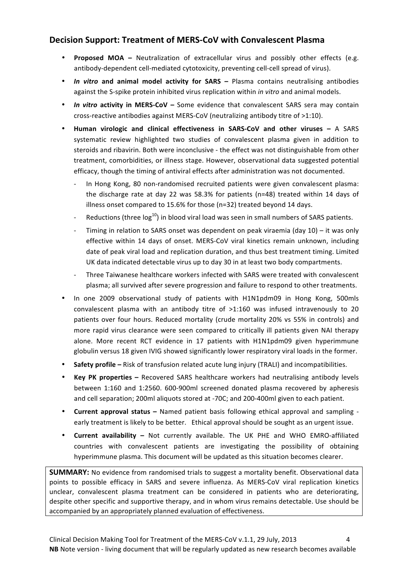## **Decision Support: Treatment of MERS-CoV with Convalescent Plasma**

- **Proposed MOA** Neutralization of extracellular virus and possibly other effects (e.g. antibody-dependent cell-mediated cytotoxicity, preventing cell-cell spread of virus).
- *In vitro* and animal model activity for SARS Plasma contains neutralising antibodies against the S-spike protein inhibited virus replication within *in vitro* and animal models.
- In vitro activity in MERS-CoV Some evidence that convalescent SARS sera may contain cross-reactive antibodies against MERS-CoV (neutralizing antibody titre of  $>1:10$ ).
- **Human virologic and clinical effectiveness in SARS-CoV and other viruses –** A SARS systematic review highlighted two studies of convalescent plasma given in addition to steroids and ribavirin. Both were inconclusive - the effect was not distinguishable from other treatment, comorbidities, or illness stage. However, observational data suggested potential efficacy, though the timing of antiviral effects after administration was not documented.
	- In Hong Kong, 80 non-randomised recruited patients were given convalescent plasma: the discharge rate at day 22 was 58.3% for patients  $(n=48)$  treated within 14 days of illness onset compared to 15.6% for those (n=32) treated beyond 14 days.
	- Reductions (three  $\log^{10}$ ) in blood viral load was seen in small numbers of SARS patients.
	- Timing in relation to SARS onset was dependent on peak viraemia  $\frac{d}{dx}$  (day 10) it was only effective within 14 days of onset. MERS-CoV viral kinetics remain unknown, including date of peak viral load and replication duration, and thus best treatment timing. Limited UK data indicated detectable virus up to day 30 in at least two body compartments.
	- Three Taiwanese healthcare workers infected with SARS were treated with convalescent plasma; all survived after severe progression and failure to respond to other treatments.
- In one 2009 observational study of patients with H1N1pdm09 in Hong Kong, 500mls convalescent plasma with an antibody titre of  $>1:160$  was infused intravenously to 20 patients over four hours. Reduced mortality (crude mortality 20% vs 55% in controls) and more rapid virus clearance were seen compared to critically ill patients given NAI therapy alone. More recent RCT evidence in 17 patients with H1N1pdm09 given hyperimmune globulin versus 18 given IVIG showed significantly lower respiratory viral loads in the former.
- Safety profile Risk of transfusion related acute lung injury (TRALI) and incompatibilities.
- **Key PK properties –** Recovered SARS healthcare workers had neutralising antibody levels between 1:160 and 1:2560. 600-900ml screened donated plasma recovered by apheresis and cell separation; 200ml aliquots stored at -70C; and 200-400ml given to each patient.
- **Current approval status –** Named patient basis following ethical approval and sampling early treatment is likely to be better. Ethical approval should be sought as an urgent issue.
- **Current availability** Not currently available. The UK PHE and WHO EMRO-affiliated countries with convalescent patients are investigating the possibility of obtaining hyperimmune plasma. This document will be updated as this situation becomes clearer.

**SUMMARY:** No evidence from randomised trials to suggest a mortality benefit. Observational data points to possible efficacy in SARS and severe influenza. As MERS-CoV viral replication kinetics unclear, convalescent plasma treatment can be considered in patients who are deteriorating, despite other specific and supportive therapy, and in whom virus remains detectable. Use should be accompanied by an appropriately planned evaluation of effectiveness.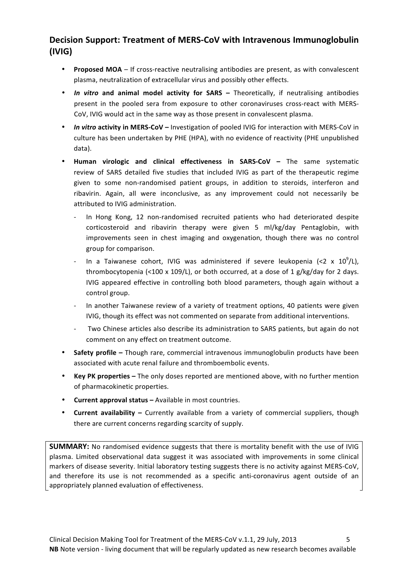## **Decision Support: Treatment of MERS-CoV with Intravenous Immunoglobulin (IVIG)**

- **Proposed MOA** If cross-reactive neutralising antibodies are present, as with convalescent plasma, neutralization of extracellular virus and possibly other effects.
- *In vitro* and animal model activity for SARS Theoretically, if neutralising antibodies present in the pooled sera from exposure to other coronaviruses cross-react with MERS-CoV, IVIG would act in the same way as those present in convalescent plasma.
- **In vitro activity in MERS-CoV** Investigation of pooled IVIG for interaction with MERS-CoV in culture has been undertaken by PHE (HPA), with no evidence of reactivity (PHE unpublished data).
- **Human virologic and clinical effectiveness in SARS-CoV –** The same systematic review of SARS detailed five studies that included IVIG as part of the therapeutic regime given to some non-randomised patient groups, in addition to steroids, interferon and ribavirin. Again, all were inconclusive, as any improvement could not necessarily be attributed to IVIG administration.
	- In Hong Kong, 12 non-randomised recruited patients who had deteriorated despite corticosteroid and ribavirin therapy were given 5 ml/kg/day Pentaglobin, with improvements seen in chest imaging and oxygenation, though there was no control group for comparison.
	- In a Taiwanese cohort, IVIG was administered if severe leukopenia (<2 x  $10^9$ /L), thrombocytopenia  $\left($  < 100 x 109/L), or both occurred, at a dose of 1 g/kg/day for 2 days. IVIG appeared effective in controlling both blood parameters, though again without a control group.
	- In another Taiwanese review of a variety of treatment options, 40 patients were given IVIG, though its effect was not commented on separate from additional interventions.
	- Two Chinese articles also describe its administration to SARS patients, but again do not comment on any effect on treatment outcome.
- **Safety profile -** Though rare, commercial intravenous immunoglobulin products have been associated with acute renal failure and thromboembolic events.
- **Key PK properties** The only doses reported are mentioned above, with no further mention of pharmacokinetic properties.
- Current approval status Available in most countries.
- **Current availability** Currently available from a variety of commercial suppliers, though there are current concerns regarding scarcity of supply.

**SUMMARY:** No randomised evidence suggests that there is mortality benefit with the use of IVIG plasma. Limited observational data suggest it was associated with improvements in some clinical markers of disease severity. Initial laboratory testing suggests there is no activity against MERS-CoV, and therefore its use is not recommended as a specific anti-coronavirus agent outside of an appropriately planned evaluation of effectiveness.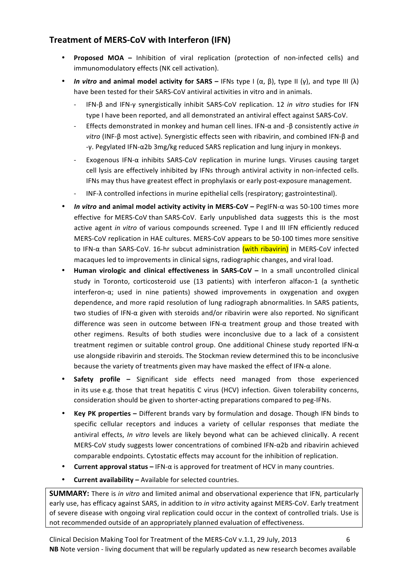## **Treatment of MERS-CoV with Interferon (IFN)**

- **Proposed MOA** Inhibition of viral replication (protection of non-infected cells) and immunomodulatory effects (NK cell activation).
- *In vitro* and animal model activity for SARS IFNs type I  $(α, β)$ , type II  $(γ)$ , and type III  $(λ)$ have been tested for their SARS-CoV antiviral activities in vitro and in animals.
	- IFN-β and IFN-γ synergistically inhibit SARS-CoV replication. 12 *in vitro* studies for IFN type I have been reported, and all demonstrated an antiviral effect against SARS-CoV.
	- Effects demonstrated in monkey and human cell lines. IFN-α and -β consistently active *in* vitro (INF-β most active). Synergistic effects seen with ribavirin, and combined IFN-β and -γ. Pegylated IFN-α2b 3mg/kg reduced SARS replication and lung injury in monkeys.
	- Exogenous IFN- $\alpha$  inhibits SARS-CoV replication in murine lungs. Viruses causing target cell lysis are effectively inhibited by IFNs through antiviral activity in non-infected cells. IFNs may thus have greatest effect in prophylaxis or early post-exposure management.
	- INF- $\lambda$  controlled infections in murine epithelial cells (respiratory; gastrointestinal).
- *In vitro* **and animal model activity activity in MERS-CoV PegIFN-α was 50-100 times more** effective for MERS-CoV than SARS-CoV. Early unpublished data suggests this is the most active agent *in vitro* of various compounds screened. Type I and III IFN efficiently reduced MERS-CoV replication in HAE cultures. MERS-CoV appears to be 50-100 times more sensitive to IFN-α than SARS-CoV. 16-hr subcut administration (with ribavirin) in MERS-CoV infected macaques led to improvements in clinical signs, radiographic changes, and viral load.
- **Human virologic and clinical effectiveness in SARS-CoV In a small uncontrolled clinical** study in Toronto, corticosteroid use (13 patients) with interferon alfacon-1 (a synthetic interferon- $\alpha$ ; used in nine patients) showed improvements in oxygenation and oxygen dependence, and more rapid resolution of lung radiograph abnormalities. In SARS patients, two studies of IFN-α given with steroids and/or ribavirin were also reported. No significant difference was seen in outcome between IFN-α treatment group and those treated with other regimens. Results of both studies were inconclusive due to a lack of a consistent treatment regimen or suitable control group. One additional Chinese study reported IFN-α use alongside ribavirin and steroids. The Stockman review determined this to be inconclusive because the variety of treatments given may have masked the effect of IFN-α alone.
- **Safety profile –** Significant side effects need managed from those experienced in its use e.g. those that treat hepatitis C virus (HCV) infection. Given tolerability concerns, consideration should be given to shorter-acting preparations compared to peg-IFNs.
- **Key PK properties** Different brands vary by formulation and dosage. Though IFN binds to specific cellular receptors and induces a variety of cellular responses that mediate the antiviral effects, *In vitro* levels are likely beyond what can be achieved clinically. A recent MERS-CoV study suggests lower concentrations of combined IFN-α2b and ribavirin achieved comparable endpoints. Cytostatic effects may account for the inhibition of replication.
- **Current approval status** IFN-α is approved for treatment of HCV in many countries.
- **Current availability –** Available for selected countries.

**SUMMARY:** There is *in vitro* and limited animal and observational experience that IFN, particularly early use, has efficacy against SARS, in addition to *in vitro* activity against MERS-CoV. Early treatment of severe disease with ongoing viral replication could occur in the context of controlled trials. Use is not recommended outside of an appropriately planned evaluation of effectiveness.

Clinical Decision Making Tool for Treatment of the MERS-CoV v.1.1, 29 July, 2013 6 **NB** Note version - living document that will be regularly updated as new research becomes available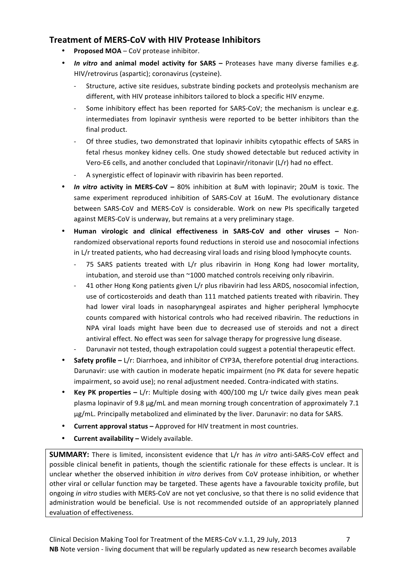## **Treatment of MERS-CoV with HIV Protease Inhibitors**

- **Proposed MOA** CoV protease inhibitor.
- In vitro and animal model activity for SARS Proteases have many diverse families e.g. HIV/retrovirus (aspartic); coronavirus (cysteine).
	- Structure, active site residues, substrate binding pockets and proteolysis mechanism are different, with HIV protease inhibitors tailored to block a specific HIV enzyme.
	- Some inhibitory effect has been reported for SARS-CoV; the mechanism is unclear e.g. intermediates from lopinavir synthesis were reported to be better inhibitors than the final product.
	- Of three studies, two demonstrated that lopinavir inhibits cytopathic effects of SARS in fetal rhesus monkey kidney cells. One study showed detectable but reduced activity in Vero-E6 cells, and another concluded that Lopinavir/ritonavir  $(L/r)$  had no effect.
	- A synergistic effect of lopinavir with ribavirin has been reported.
- **In vitro activity in MERS-CoV** 80% inhibition at 8uM with lopinavir; 20uM is toxic. The same experiment reproduced inhibition of SARS-CoV at 16uM. The evolutionary distance between SARS-CoV and MERS-CoV is considerable. Work on new PIs specifically targeted against MERS-CoV is underway, but remains at a very preliminary stage.
- **Human virologic and clinical effectiveness in SARS-CoV and other viruses –** Nonrandomized observational reports found reductions in steroid use and nosocomial infections in L/r treated patients, who had decreasing viral loads and rising blood lymphocyte counts.
	- 75 SARS patients treated with L/r plus ribavirin in Hong Kong had lower mortality, intubation, and steroid use than  $\sim$ 1000 matched controls receiving only ribavirin.
	- 41 other Hong Kong patients given L/r plus ribavirin had less ARDS, nosocomial infection, use of corticosteroids and death than 111 matched patients treated with ribavirin. They had lower viral loads in nasopharyngeal aspirates and higher peripheral lymphocyte counts compared with historical controls who had received ribavirin. The reductions in NPA viral loads might have been due to decreased use of steroids and not a direct antiviral effect. No effect was seen for salvage therapy for progressive lung disease. Darunavir not tested, though extrapolation could suggest a potential therapeutic effect.
- **Safety profile** L/r: Diarrhoea, and inhibitor of CYP3A, therefore potential drug interactions. Darunavir: use with caution in moderate hepatic impairment (no PK data for severe hepatic impairment, so avoid use); no renal adjustment needed. Contra-indicated with statins.
- **Key PK properties** L/r: Multiple dosing with 400/100 mg L/r twice daily gives mean peak plasma lopinavir of 9.8 μg/mL and mean morning trough concentration of approximately 7.1 μg/mL. Principally metabolized and eliminated by the liver. Darunavir: no data for SARS.
- **Current approval status Approved for HIV treatment in most countries.**
- **Current availability Widely available.**

**SUMMARY:** There is limited, inconsistent evidence that L/r has *in vitro* anti-SARS-CoV effect and possible clinical benefit in patients, though the scientific rationale for these effects is unclear. It is unclear whether the observed inhibition *in vitro* derives from CoV protease inhibition, or whether other viral or cellular function may be targeted. These agents have a favourable toxicity profile, but ongoing *in vitro* studies with MERS-CoV are not yet conclusive, so that there is no solid evidence that administration would be beneficial. Use is not recommended outside of an appropriately planned evaluation of effectiveness.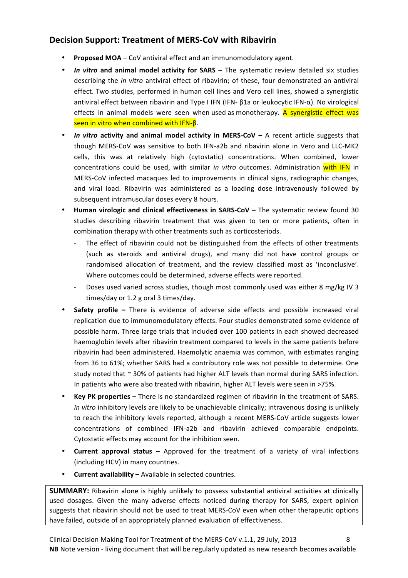## **Decision Support: Treatment of MERS-CoV with Ribavirin**

- **Proposed MOA** CoV antiviral effect and an immunomodulatory agent.
- In vitro and animal model activity for SARS The systematic review detailed six studies describing the *in vitro* antiviral effect of ribavirin; of these, four demonstrated an antiviral effect. Two studies, performed in human cell lines and Vero cell lines, showed a synergistic antiviral effect between ribavirin and Type I IFN (IFN- β1a or leukocytic IFN-α). No virological effects in animal models were seen when used as monotherapy. A synergistic effect was seen in vitro when combined with IFN- $β$ .
- *In vitro* activity and animal model activity in MERS-CoV A recent article suggests that though MERS-CoV was sensitive to both IFN-a2b and ribavirin alone in Vero and LLC-MK2 cells, this was at relatively high (cytostatic) concentrations. When combined, lower concentrations could be used, with similar *in vitro* outcomes. Administration with IFN in MERS-CoV infected macaques led to improvements in clinical signs, radiographic changes, and viral load. Ribavirin was administered as a loading dose intravenously followed by subsequent intramuscular doses every 8 hours.
- Human virologic and clinical effectiveness in SARS-CoV The systematic review found 30 studies describing ribavirin treatment that was given to ten or more patients, often in combination therapy with other treatments such as corticosteriods.
	- The effect of ribavirin could not be distinguished from the effects of other treatments (such as steroids and antiviral drugs), and many did not have control groups or randomised allocation of treatment, and the review classified most as 'inconclusive'. Where outcomes could be determined, adverse effects were reported.
	- Doses used varied across studies, though most commonly used was either 8 mg/kg IV 3 times/day or 1.2 g oral 3 times/day.
- **Safety profile** There is evidence of adverse side effects and possible increased viral replication due to immunomodulatory effects. Four studies demonstrated some evidence of possible harm. Three large trials that included over 100 patients in each showed decreased haemoglobin levels after ribavirin treatment compared to levels in the same patients before ribavirin had been administered. Haemolytic anaemia was common, with estimates ranging from 36 to 61%; whether SARS had a contributory role was not possible to determine. One study noted that  $\sim$  30% of patients had higher ALT levels than normal during SARS infection. In patients who were also treated with ribavirin, higher ALT levels were seen in >75%.
- **Key PK properties** There is no standardized regimen of ribavirin in the treatment of SARS. *In* vitro inhibitory levels are likely to be unachievable clinically; intravenous dosing is unlikely to reach the inhibitory levels reported, although a recent MERS-CoV article suggests lower concentrations of combined IFN-a2b and ribavirin achieved comparable endpoints. Cytostatic effects may account for the inhibition seen.
- **Current approval status** Approved for the treatment of a variety of viral infections (including HCV) in many countries.
- **Current availability –** Available in selected countries.

**SUMMARY:** Ribavirin alone is highly unlikely to possess substantial antiviral activities at clinically used dosages. Given the many adverse effects noticed during therapy for SARS, expert opinion suggests that ribavirin should not be used to treat MERS-CoV even when other therapeutic options have failed, outside of an appropriately planned evaluation of effectiveness.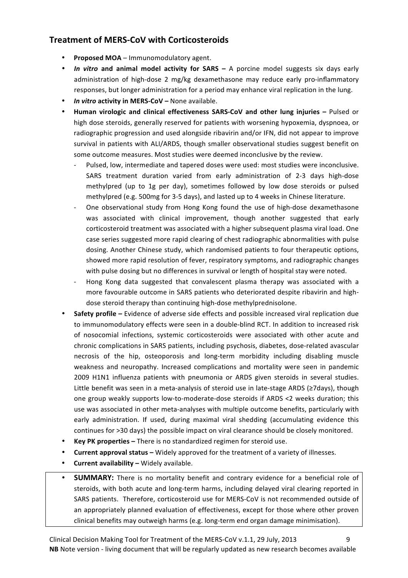## **Treatment of MERS-CoV with Corticosteroids**

- **Proposed MOA** Immunomodulatory agent.
- *In vitro* and animal model activity for SARS A porcine model suggests six days early administration of high-dose 2 mg/kg dexamethasone may reduce early pro-inflammatory responses, but longer administration for a period may enhance viral replication in the lung.
- *In vitro* activity in MERS-CoV None available.
- **Human virologic and clinical effectiveness SARS-CoV and other lung injuries –** Pulsed or high dose steroids, generally reserved for patients with worsening hypoxemia, dyspnoea, or radiographic progression and used alongside ribavirin and/or IFN, did not appear to improve survival in patients with ALI/ARDS, though smaller observational studies suggest benefit on some outcome measures. Most studies were deemed inconclusive by the review.
	- Pulsed, low, intermediate and tapered doses were used: most studies were inconclusive. SARS treatment duration varied from early administration of 2-3 days high-dose methylpred (up to 1g per day), sometimes followed by low dose steroids or pulsed methylpred (e.g. 500mg for 3-5 days), and lasted up to 4 weeks in Chinese literature.
	- One observational study from Hong Kong found the use of high-dose dexamethasone was associated with clinical improvement, though another suggested that early corticosteroid treatment was associated with a higher subsequent plasma viral load. One case series suggested more rapid clearing of chest radiographic abnormalities with pulse dosing. Another Chinese study, which randomised patients to four therapeutic options, showed more rapid resolution of fever, respiratory symptoms, and radiographic changes with pulse dosing but no differences in survival or length of hospital stay were noted.
	- Hong Kong data suggested that convalescent plasma therapy was associated with a more favourable outcome in SARS patients who deteriorated despite ribavirin and highdose steroid therapy than continuing high-dose methylprednisolone.
- **Safety profile** Evidence of adverse side effects and possible increased viral replication due to immunomodulatory effects were seen in a double-blind RCT. In addition to increased risk of nosocomial infections, systemic corticosteroids were associated with other acute and chronic complications in SARS patients, including psychosis, diabetes, dose-related avascular necrosis of the hip, osteoporosis and long-term morbidity including disabling muscle weakness and neuropathy. Increased complications and mortality were seen in pandemic 2009 H1N1 influenza patients with pneumonia or ARDS given steroids in several studies. Little benefit was seen in a meta-analysis of steroid use in late-stage ARDS ( $\geq$ 7days), though one group weakly supports low-to-moderate-dose steroids if ARDS <2 weeks duration; this use was associated in other meta-analyses with multiple outcome benefits, particularly with early administration. If used, during maximal viral shedding (accumulating evidence this continues for >30 days) the possible impact on viral clearance should be closely monitored.
- **Key PK properties –** There is no standardized regimen for steroid use.
- **Current approval status** Widely approved for the treatment of a variety of illnesses.
- **Current availability** Widely available.
- **SUMMARY:** There is no mortality benefit and contrary evidence for a beneficial role of steroids, with both acute and long-term harms, including delayed viral clearing reported in SARS patients. Therefore, corticosteroid use for MERS-CoV is not recommended outside of an appropriately planned evaluation of effectiveness, except for those where other proven clinical benefits may outweigh harms (e.g. long-term end organ damage minimisation).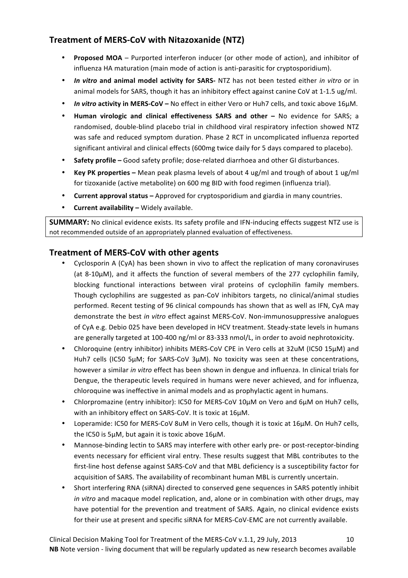## **Treatment of MERS-CoV with Nitazoxanide (NTZ)**

- **Proposed MOA** Purported interferon inducer (or other mode of action), and inhibitor of influenza HA maturation (main mode of action is anti-parasitic for cryptosporidium).
- *In vitro* and animal model activity for SARS- NTZ has not been tested either *in vitro* or in animal models for SARS, though it has an inhibitory effect against canine CoV at 1-1.5 ug/ml.
- *In vitro* activity in MERS-CoV No effect in either Vero or Huh7 cells, and toxic above 16uM.
- **Human virologic and clinical effectiveness SARS and other No evidence for SARS; a** randomised, double-blind placebo trial in childhood viral respiratory infection showed NTZ was safe and reduced symptom duration. Phase 2 RCT in uncomplicated influenza reported significant antiviral and clinical effects (600mg twice daily for 5 days compared to placebo).
- **Safety profile** Good safety profile; dose-related diarrhoea and other GI disturbances.
- **Key PK properties** Mean peak plasma levels of about 4 ug/ml and trough of about 1 ug/ml for tizoxanide (active metabolite) on 600 mg BID with food regimen (influenza trial).
- **Current approval status** Approved for cryptosporidium and giardia in many countries.
- **Current availability Widely available.**

**SUMMARY:** No clinical evidence exists. Its safety profile and IFN-inducing effects suggest NTZ use is not recommended outside of an appropriately planned evaluation of effectiveness.

## **Treatment of MERS-CoV with other agents**

- Cyclosporin A (CyA) has been shown in vivo to affect the replication of many coronaviruses (at 8-10 $\mu$ M), and it affects the function of several members of the 277 cyclophilin family, blocking functional interactions between viral proteins of cyclophilin family members. Though cyclophilins are suggested as pan-CoV inhibitors targets, no clinical/animal studies performed. Recent testing of 96 clinical compounds has shown that as well as IFN, CyA may demonstrate the best in vitro effect against MERS-CoV. Non-immunosuppressive analogues of CyA e.g. Debio 025 have been developed in HCV treatment. Steady-state levels in humans are generally targeted at 100-400 ng/ml or 83-333 nmol/L, in order to avoid nephrotoxicity.
- Chloroquine (entry inhibitor) inhibits MERS-CoV CPE in Vero cells at 32uM (IC50 15µM) and Huh7 cells (IC50  $5\mu$ M; for SARS-CoV  $3\mu$ M). No toxicity was seen at these concentrations, however a similar *in vitro* effect has been shown in dengue and influenza. In clinical trials for Dengue, the therapeutic levels required in humans were never achieved, and for influenza, chloroquine was ineffective in animal models and as prophylactic agent in humans.
- Chlorpromazine (entry inhibitor): IC50 for MERS-CoV 10uM on Vero and 6uM on Huh7 cells, with an inhibitory effect on SARS-CoV. It is toxic at 16µM.
- Loperamide: IC50 for MERS-CoV 8uM in Vero cells, though it is toxic at 16µM. On Huh7 cells, the IC50 is  $5\mu$ M, but again it is toxic above  $16\mu$ M.
- Mannose-binding lectin to SARS may interfere with other early pre- or post-receptor-binding events necessary for efficient viral entry. These results suggest that MBL contributes to the first-line host defense against SARS-CoV and that MBL deficiency is a susceptibility factor for acquisition of SARS. The availability of recombinant human MBL is currently uncertain.
- Short interfering RNA (siRNA) directed to conserved gene sequences in SARS potently inhibit *in* vitro and macaque model replication, and, alone or in combination with other drugs, may have potential for the prevention and treatment of SARS. Again, no clinical evidence exists for their use at present and specific siRNA for MERS-CoV-EMC are not currently available.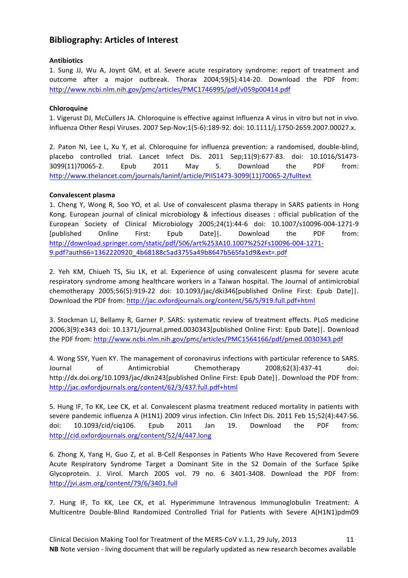## **Bibliography: Articles of Interest**

## **Antibiotics**

1. Sung JJ, Wu A, Joynt GM, et al. Severe acute respiratory syndrome: report of treatment and outcome after a major outbreak. Thorax 2004;59(5):414-20. Download the PDF from: http://www.ncbi.nlm.nih.gov/pmc/articles/PMC1746995/pdf/v059p00414.pdf

## **Chloroquine**

1. Vigerust DJ, McCullers JA. Chloroquine is effective against influenza A virus in vitro but not in vivo. Influenza Other Respi Viruses. 2007 Sep-Nov;1(5-6):189-92. doi: 10.1111/j.1750-2659.2007.00027.x. 

2. Paton NI, Lee L, Xu Y, et al. Chloroquine for influenza prevention: a randomised, double-blind, placebo controlled trial. Lancet Infect Dis. 2011 Sep;11(9):677-83. doi: 10.1016/S1473- 3099(11)70065-2. Epub 2011 May 5. Download the PDF from: http://www.thelancet.com/journals/laninf/article/PIIS1473-3099(11)70065-2/fulltext

## **Convalescent plasma**

1. Cheng Y, Wong R, Soo YO, et al. Use of convalescent plasma therapy in SARS patients in Hong Kong. European journal of clinical microbiology & infectious diseases : official publication of the European Society of Clinical Microbiology 2005;24(1):44-6 doi: 10.1007/s10096-004-1271-9 [published Online First: Epub Date]|. Download the PDF from: http://download.springer.com/static/pdf/506/art%253A10.1007%252Fs10096-004-1271- 9.pdf?auth66=1362220920\_4b68188c5ad3755a49b8647b565fa1d9&ext=.pdf 

2. Yeh KM, Chiueh TS, Siu LK, et al. Experience of using convalescent plasma for severe acute respiratory syndrome among healthcare workers in a Taiwan hospital. The Journal of antimicrobial chemotherapy 2005;56(5):919-22 doi: 10.1093/jac/dki346[published Online First: Epub Date]]. Download the PDF from: http://jac.oxfordjournals.org/content/56/5/919.full.pdf+html

3. Stockman LJ, Bellamy R, Garner P. SARS: systematic review of treatment effects. PLoS medicine 2006;3(9):e343 doi: 10.1371/journal.pmed.0030343[published Online First: Epub Date]]. Download the PDF from: http://www.ncbi.nlm.nih.gov/pmc/articles/PMC1564166/pdf/pmed.0030343.pdf

4. Wong SSY, Yuen KY. The management of coronavirus infections with particular reference to SARS. Journal of Antimicrobial Chemotherapy 2008;62(3):437-41 doi: http://dx.doi.org/10.1093/jac/dkn243[published Online First: Epub Date]]. Download the PDF from: http://jac.oxfordjournals.org/content/62/3/437.full.pdf+html

5. Hung IF, To KK, Lee CK, et al. Convalescent plasma treatment reduced mortality in patients with severe pandemic influenza A (H1N1) 2009 virus infection. Clin Infect Dis. 2011 Feb 15;52(4):447-56. doi: 10.1093/cid/ciq106. Epub 2011 Jan 19. Download the PDF from: http://cid.oxfordjournals.org/content/52/4/447.long

6. Zhong X, Yang H, Guo Z, et al. B-Cell Responses in Patients Who Have Recovered from Severe Acute Respiratory Syndrome Target a Dominant Site in the S2 Domain of the Surface Spike Glycoprotein. J. Virol. March 2005 vol. 79 no. 6 3401-3408. Download the PDF from: http://jvi.asm.org/content/79/6/3401.full

7. Hung IF, To KK, Lee CK, et al. Hyperimmune Intravenous Immunoglobulin Treatment: A Multicentre Double-Blind Randomized Controlled Trial for Patients with Severe A(H1N1)pdm09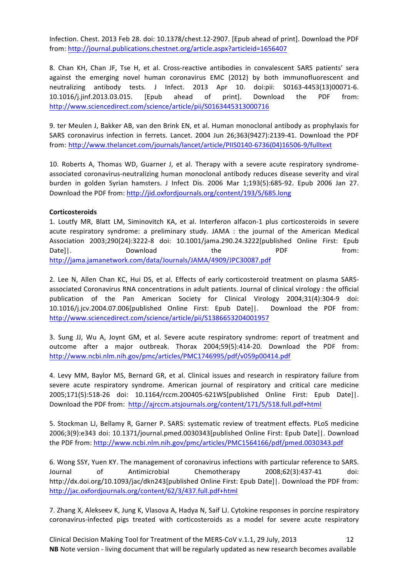Infection. Chest. 2013 Feb 28. doi: 10.1378/chest.12-2907. [Epub ahead of print]. Download the PDF from: http://journal.publications.chestnet.org/article.aspx?articleid=1656407

8. Chan KH, Chan JF, Tse H, et al. Cross-reactive antibodies in convalescent SARS patients' sera against the emerging novel human coronavirus EMC (2012) by both immunofluorescent and neutralizing antibody tests. J Infect. 2013 Apr 10. doi:pii: S0163-4453(13)00071-6. 10.1016/j.jinf.2013.03.015. [Epub ahead of print]. Download the PDF from: http://www.sciencedirect.com/science/article/pii/S0163445313000716

9. ter Meulen J, Bakker AB, van den Brink EN, et al. Human monoclonal antibody as prophylaxis for SARS coronavirus infection in ferrets. Lancet. 2004 Jun 26;363(9427):2139-41. Download the PDF from: http://www.thelancet.com/journals/lancet/article/PIIS0140-6736(04)16506-9/fulltext

10. Roberts A, Thomas WD, Guarner J, et al. Therapy with a severe acute respiratory syndromeassociated coronavirus-neutralizing human monoclonal antibody reduces disease severity and viral burden in golden Syrian hamsters. J Infect Dis. 2006 Mar 1;193(5):685-92. Epub 2006 Jan 27. Download the PDF from: http://jid.oxfordjournals.org/content/193/5/685.long

## **Corticosteroids**

1. Loutfy MR, Blatt LM, Siminovitch KA, et al. Interferon alfacon-1 plus corticosteroids in severe acute respiratory syndrome: a preliminary study. JAMA : the journal of the American Medical Association 2003;290(24):3222-8 doi: 10.1001/jama.290.24.3222[published Online First: Epub Date]|. Cownload the Download the PDF from: http://jama.jamanetwork.com/data/Journals/JAMA/4909/JPC30087.pdf

2. Lee N, Allen Chan KC, Hui DS, et al. Effects of early corticosteroid treatment on plasma SARSassociated Coronavirus RNA concentrations in adult patients. Journal of clinical virology : the official publication of the Pan American Society for Clinical Virology 2004;31(4):304-9 doi: 10.1016/j.jcv.2004.07.006[published Online First: Epub Date]|. Download the PDF from: http://www.sciencedirect.com/science/article/pii/S1386653204001957 

3. Sung JJ, Wu A, Joynt GM, et al. Severe acute respiratory syndrome: report of treatment and outcome after a major outbreak. Thorax 2004;59(5):414-20. Download the PDF from: http://www.ncbi.nlm.nih.gov/pmc/articles/PMC1746995/pdf/v059p00414.pdf

4. Levy MM, Baylor MS, Bernard GR, et al. Clinical issues and research in respiratory failure from severe acute respiratory syndrome. American journal of respiratory and critical care medicine 2005;171(5):518-26 doi: 10.1164/rccm.200405-621WS[published Online First: Epub Date]|. Download the PDF from: http://ajrccm.atsjournals.org/content/171/5/518.full.pdf+html

5. Stockman LJ, Bellamy R, Garner P. SARS: systematic review of treatment effects. PLoS medicine 2006;3(9):e343 doi: 10.1371/journal.pmed.0030343[published Online First: Epub Date]]. Download the PDF from: http://www.ncbi.nlm.nih.gov/pmc/articles/PMC1564166/pdf/pmed.0030343.pdf

6. Wong SSY, Yuen KY. The management of coronavirus infections with particular reference to SARS. Journal of Antimicrobial Chemotherapy 2008;62(3):437-41 http://dx.doi.org/10.1093/jac/dkn243[published Online First: Epub Date]|. Download the PDF from: http://jac.oxfordjournals.org/content/62/3/437.full.pdf+html

7. Zhang X, Alekseev K, Jung K, Vlasova A, Hadya N, Saif LJ. Cytokine responses in porcine respiratory coronavirus-infected pigs treated with corticosteroids as a model for severe acute respiratory

Clinical Decision Making Tool for Treatment of the MERS-CoV v.1.1, 29 July, 2013 12 **NB** Note version - living document that will be regularly updated as new research becomes available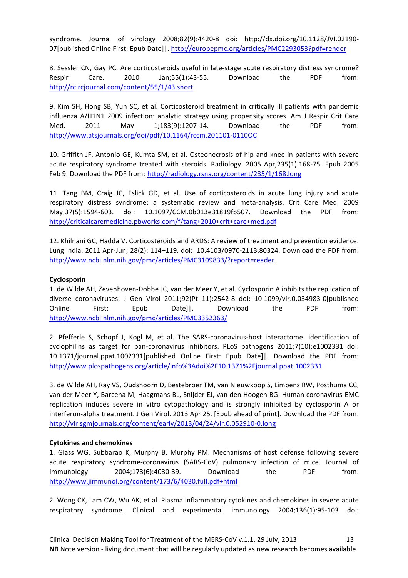syndrome. Journal of virology 2008;82(9):4420-8 doi: http://dx.doi.org/10.1128/JVI.02190- 07[published Online First: Epub Date]]. http://europepmc.org/articles/PMC2293053?pdf=render

8. Sessler CN, Gay PC. Are corticosteroids useful in late-stage acute respiratory distress syndrome? Respir Care. 2010 Jan;55(1):43-55. Download the PDF from: http://rc.rcjournal.com/content/55/1/43.short

9. Kim SH, Hong SB, Yun SC, et al. Corticosteroid treatment in critically ill patients with pandemic influenza A/H1N1 2009 infection: analytic strategy using propensity scores. Am J Respir Crit Care Med. 2011 May 1;183(9):1207-14. Download the PDF from: http://www.atsjournals.org/doi/pdf/10.1164/rccm.201101-0110OC

10. Griffith JF, Antonio GE, Kumta SM, et al. Osteonecrosis of hip and knee in patients with severe acute respiratory syndrome treated with steroids. Radiology. 2005 Apr;235(1):168-75. Epub 2005 Feb 9. Download the PDF from: http://radiology.rsna.org/content/235/1/168.long

11. Tang BM, Craig JC, Eslick GD, et al. Use of corticosteroids in acute lung injury and acute respiratory distress syndrome: a systematic review and meta-analysis. Crit Care Med. 2009 May;37(5):1594-603. doi: 10.1097/CCM.0b013e31819fb507. Download the PDF from: http://criticalcaremedicine.pbworks.com/f/tang+2010+crit+care+med.pdf

12. Khilnani GC, Hadda V. Corticosteroids and ARDS: A review of treatment and prevention evidence. Lung India. 2011 Apr-Jun; 28(2): 114-119. doi: 10.4103/0970-2113.80324. Download the PDF from: http://www.ncbi.nlm.nih.gov/pmc/articles/PMC3109833/?report=reader

## **Cyclosporin**

1. de Wilde AH, Zevenhoven-Dobbe JC, van der Meer Y, et al. Cyclosporin A inhibits the replication of diverse coronaviruses. J Gen Virol 2011;92(Pt 11):2542-8 doi: 10.1099/vir.0.034983-0[published Online First: Epub Date]|. Download the PDF from: http://www.ncbi.nlm.nih.gov/pmc/articles/PMC3352363/

2. Pfefferle S, Schopf J, Kogl M, et al. The SARS-coronavirus-host interactome: identification of cyclophilins as target for pan-coronavirus inhibitors. PLoS pathogens 2011;7(10):e1002331 doi: 10.1371/journal.ppat.1002331[published Online First: Epub Date]|. Download the PDF from: http://www.plospathogens.org/article/info%3Adoi%2F10.1371%2Fjournal.ppat.1002331

3. de Wilde AH, Ray VS, Oudshoorn D, Bestebroer TM, van Nieuwkoop S, Limpens RW, Posthuma CC, van der Meer Y, Bárcena M, Haagmans BL, Snijder EJ, van den Hoogen BG. Human coronavirus-EMC replication induces severe in vitro cytopathology and is strongly inhibited by cyclosporin A or interferon-alpha treatment. J Gen Virol. 2013 Apr 25. [Epub ahead of print]. Download the PDF from: http://vir.sgmjournals.org/content/early/2013/04/24/vir.0.052910-0.long

## **Cytokines and chemokines**

1. Glass WG, Subbarao K, Murphy B, Murphy PM. Mechanisms of host defense following severe acute respiratory syndrome-coronavirus (SARS-CoV) pulmonary infection of mice. Journal of Immunology 2004;173(6):4030-39. Download the PDF from: http://www.jimmunol.org/content/173/6/4030.full.pdf+html

2. Wong CK, Lam CW, Wu AK, et al. Plasma inflammatory cytokines and chemokines in severe acute respiratory syndrome. Clinical and experimental immunology 2004;136(1):95-103 doi: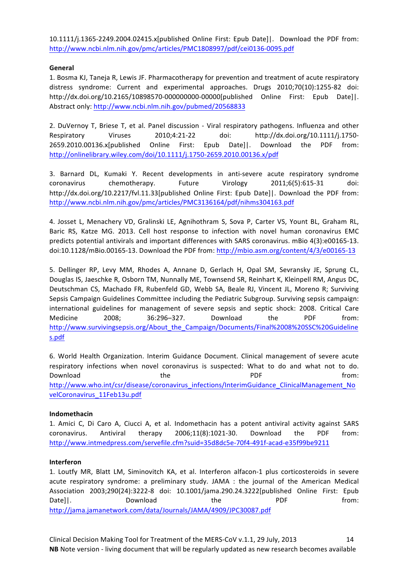10.1111/j.1365-2249.2004.02415.x[published Online First: Epub Date]|. Download the PDF from: http://www.ncbi.nlm.nih.gov/pmc/articles/PMC1808997/pdf/cei0136-0095.pdf

## **General**

1. Bosma KJ, Taneja R, Lewis JF. Pharmacotherapy for prevention and treatment of acute respiratory distress syndrome: Current and experimental approaches. Drugs 2010;70(10):1255-82 doi: http://dx.doi.org/10.2165/10898570-000000000-00000[published Online First: Epub Date]|. Abstract only: http://www.ncbi.nlm.nih.gov/pubmed/20568833

2. DuVernoy T, Briese T, et al. Panel discussion - Viral respiratory pathogens. Influenza and other Respiratory Viruses 2010;4:21-22 doi: http://dx.doi.org/10.1111/j.1750- 2659.2010.00136.x[published Online First: Epub Date]|. Download the PDF from: http://onlinelibrary.wiley.com/doi/10.1111/j.1750-2659.2010.00136.x/pdf 

3. Barnard DL, Kumaki Y. Recent developments in anti-severe acute respiratory syndrome coronavirus chemotherapy. Future Virology 2011;6(5):615-31 doi: http://dx.doi.org/10.2217/fvl.11.33[published Online First: Epub Date]]. Download the PDF from: http://www.ncbi.nlm.nih.gov/pmc/articles/PMC3136164/pdf/nihms304163.pdf

4. Josset L, Menachery VD, Gralinski LE, Agnihothram S, Sova P, Carter VS, Yount BL, Graham RL, Baric RS, Katze MG. 2013. Cell host response to infection with novel human coronavirus EMC predicts potential antivirals and important differences with SARS coronavirus. mBio 4(3):e00165-13. doi:10.1128/mBio.00165-13. Download the PDF from: http://mbio.asm.org/content/4/3/e00165-13

5. Dellinger RP, Levy MM, Rhodes A, Annane D, Gerlach H, Opal SM, Sevransky JE, Sprung CL, Douglas IS, Jaeschke R, Osborn TM, Nunnally ME, Townsend SR, Reinhart K, Kleinpell RM, Angus DC, Deutschman CS, Machado FR, Rubenfeld GD, Webb SA, Beale RJ, Vincent JL, Moreno R; Surviving Sepsis Campaign Guidelines Committee including the Pediatric Subgroup. Surviving sepsis campaign: international guidelines for management of severe sepsis and septic shock: 2008. Critical Care Medicine 2008: 36:296–327. Download the PDF from: http://www.survivingsepsis.org/About\_the\_Campaign/Documents/Final%2008%20SSC%20Guideline s.pdf

6. World Health Organization. Interim Guidance Document. Clinical management of severe acute respiratory infections when novel coronavirus is suspected: What to do and what not to do. Download **the the PDF** from: http://www.who.int/csr/disease/coronavirus\_infections/InterimGuidance\_ClinicalManagement\_No velCoronavirus\_11Feb13u.pdf

## **Indomethacin**

1. Amici C, Di Caro A, Ciucci A, et al. Indomethacin has a potent antiviral activity against SARS coronavirus. Antiviral therapy 2006;11(8):1021-30. Download the PDF from: http://www.intmedpress.com/servefile.cfm?suid=35d8dc5e-70f4-491f-acad-e35f99be9211

## **Interferon**

1. Loutfy MR, Blatt LM, Siminovitch KA, et al. Interferon alfacon-1 plus corticosteroids in severe acute respiratory syndrome: a preliminary study. JAMA : the journal of the American Medical Association 2003;290(24):3222-8 doi: 10.1001/jama.290.24.3222[published Online First: Epub Date]|. Cownload the Download the PDF from: http://jama.jamanetwork.com/data/Journals/JAMA/4909/JPC30087.pdf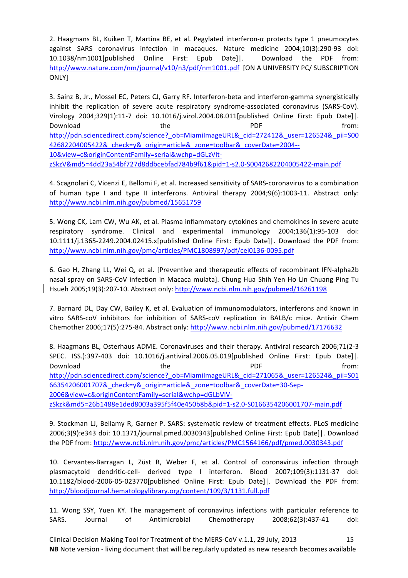2. Haagmans BL, Kuiken T, Martina BE, et al. Pegylated interferon- $\alpha$  protects type 1 pneumocytes against SARS coronavirus infection in macaques. Nature medicine 2004;10(3):290-93 doi: 10.1038/nm1001[published Online First: Epub Date]|. Download the PDF from: http://www.nature.com/nm/journal/v10/n3/pdf/nm1001.pdf [ON A UNIVERSITY PC/ SUBSCRIPTION ONLY]

3. Sainz B, Jr., Mossel EC, Peters CJ, Garry RF. Interferon-beta and interferon-gamma synergistically inhibit the replication of severe acute respiratory syndrome-associated coronavirus (SARS-CoV). Virology 2004;329(1):11-7 doi: 10.1016/j.virol.2004.08.011[published Online First: Epub Date]|. Download **the the Bureau Community Community** PDF **From:** http://pdn.sciencedirect.com/science?\_ob=MiamiImageURL&\_cid=272412&\_user=126524&\_pii=S00 42682204005422&\_check=y&\_origin=article&\_zone=toolbar&\_coverDate=2004-- 10&view=c&originContentFamily=serial&wchp=dGLzVltzSkzV&md5=4dd23a54bf727d8ddbcebfad784b9f61&pid=1-s2.0-S0042682204005422-main.pdf

4. Scagnolari C, Vicenzi E, Bellomi F, et al. Increased sensitivity of SARS-coronavirus to a combination of human type I and type II interferons. Antiviral therapy 2004;9(6):1003-11. Abstract only: http://www.ncbi.nlm.nih.gov/pubmed/15651759

5. Wong CK, Lam CW, Wu AK, et al. Plasma inflammatory cytokines and chemokines in severe acute respiratory syndrome. Clinical and experimental immunology 2004;136(1):95-103 doi: 10.1111/j.1365-2249.2004.02415.x[published Online First: Epub Date]]. Download the PDF from: http://www.ncbi.nlm.nih.gov/pmc/articles/PMC1808997/pdf/cei0136-0095.pdf

6. Gao H, Zhang LL, Wei Q, et al. [Preventive and therapeutic effects of recombinant IFN-alpha2b nasal spray on SARS-CoV infection in Macaca mulata]. Chung Hua Shih Yen Ho Lin Chuang Ping Tu Hsueh 2005;19(3):207-10. Abstract only: http://www.ncbi.nlm.nih.gov/pubmed/16261198

7. Barnard DL, Day CW, Bailey K, et al. Evaluation of immunomodulators, interferons and known in vitro SARS-coV inhibitors for inhibition of SARS-coV replication in BALB/c mice. Antivir Chem Chemother 2006;17(5):275-84. Abstract only: http://www.ncbi.nlm.nih.gov/pubmed/17176632

8. Haagmans BL, Osterhaus ADME. Coronaviruses and their therapy. Antiviral research 2006;71(2-3 SPEC. ISS.):397-403 doi: 10.1016/j.antiviral.2006.05.019[published Online First: Epub Date]|. Download **the the PDF** from: http://pdn.sciencedirect.com/science?\_ob=MiamiImageURL&\_cid=271065&\_user=126524&\_pii=S01 66354206001707&\_check=y&\_origin=article&\_zone=toolbar&\_coverDate=30-Sep-2006&view=c&originContentFamily=serial&wchp=dGLbVlVzSkzk&md5=26b1488e1ded8003a395f5f40e450b8b&pid=1-s2.0-S0166354206001707-main.pdf 

9. Stockman LJ, Bellamy R, Garner P. SARS: systematic review of treatment effects. PLoS medicine 2006;3(9):e343 doi: 10.1371/journal.pmed.0030343[published Online First: Epub Date]]. Download the PDF from: http://www.ncbi.nlm.nih.gov/pmc/articles/PMC1564166/pdf/pmed.0030343.pdf

10. Cervantes-Barragan L, Züst R, Weber F, et al. Control of coronavirus infection through plasmacytoid dendritic-cell- derived type I interferon. Blood 2007;109(3):1131-37 doi: 10.1182/blood-2006-05-023770[published Online First: Epub Date]|. Download the PDF from: http://bloodjournal.hematologylibrary.org/content/109/3/1131.full.pdf

11. Wong SSY, Yuen KY. The management of coronavirus infections with particular reference to SARS. Journal of Antimicrobial Chemotherapy 2008;62(3):437-41 doi:

Clinical Decision Making Tool for Treatment of the MERS-CoV v.1.1, 29 July, 2013 15 **NB** Note version - living document that will be regularly updated as new research becomes available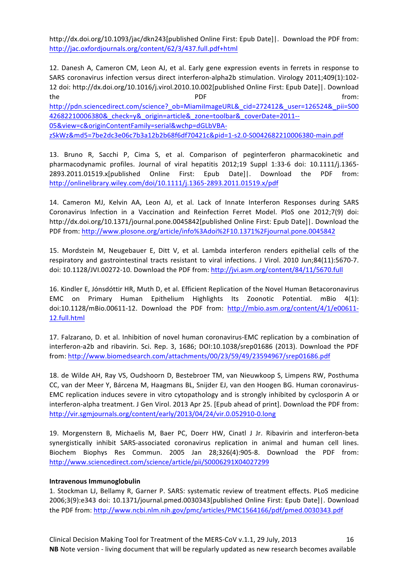http://dx.doi.org/10.1093/jac/dkn243[published Online First: Epub Date]|. Download the PDF from: http://jac.oxfordjournals.org/content/62/3/437.full.pdf+html

12. Danesh A, Cameron CM, Leon AJ, et al. Early gene expression events in ferrets in response to SARS coronavirus infection versus direct interferon-alpha2b stimulation. Virology 2011;409(1):102-12 doi: http://dx.doi.org/10.1016/j.virol.2010.10.002[published Online First: Epub Date]]. Download the the contract of the pDF contract  $\mathsf{PDF}$  from: http://pdn.sciencedirect.com/science?\_ob=MiamiImageURL&\_cid=272412&\_user=126524&\_pii=S00 42682210006380&\_check=y&\_origin=article&\_zone=toolbar&\_coverDate=2011-- 05&view=c&originContentFamily=serial&wchp=dGLbVBA-

zSkWz&md5=7be2dc3e06c7b3a12b2b68f6df70421c&pid=1-s2.0-S0042682210006380-main.pdf 

13. Bruno R, Sacchi P, Cima S, et al. Comparison of peginterferon pharmacokinetic and pharmacodynamic profiles. Journal of viral hepatitis 2012;19 Suppl 1:33-6 doi: 10.1111/j.1365-2893.2011.01519.x[published Online First: Epub Date]|. Download the PDF from: http://onlinelibrary.wiley.com/doi/10.1111/j.1365-2893.2011.01519.x/pdf

14. Cameron MJ, Kelvin AA, Leon AJ, et al. Lack of Innate Interferon Responses during SARS Coronavirus Infection in a Vaccination and Reinfection Ferret Model. PloS one 2012;7(9) doi: http://dx.doi.org/10.1371/journal.pone.0045842[published Online First: Epub Date]]. Download the PDF from: http://www.plosone.org/article/info%3Adoi%2F10.1371%2Fjournal.pone.0045842

15. Mordstein M, Neugebauer E, Ditt V, et al. Lambda interferon renders epithelial cells of the respiratory and gastrointestinal tracts resistant to viral infections. J Virol. 2010 Jun;84(11):5670-7. doi: 10.1128/JVI.00272-10. Download the PDF from: http://jvi.asm.org/content/84/11/5670.full

16. Kindler E, Jónsdóttir HR, Muth D, et al. Efficient Replication of the Novel Human Betacoronavirus EMC on Primary Human Epithelium Highlights Its Zoonotic Potential. mBio 4(1): doi:10.1128/mBio.00611-12. Download the PDF from: http://mbio.asm.org/content/4/1/e00611-12.full.html

17. Falzarano, D. et al. Inhibition of novel human coronavirus-EMC replication by a combination of interferon-a2b and ribavirin. Sci. Rep. 3, 1686; DOI:10.1038/srep01686 (2013). Download the PDF from: http://www.biomedsearch.com/attachments/00/23/59/49/23594967/srep01686.pdf

18. de Wilde AH, Ray VS, Oudshoorn D, Bestebroer TM, van Nieuwkoop S, Limpens RW, Posthuma CC, van der Meer Y, Bárcena M, Haagmans BL, Snijder EJ, van den Hoogen BG. Human coronavirus-EMC replication induces severe in vitro cytopathology and is strongly inhibited by cyclosporin A or interferon-alpha treatment. J Gen Virol. 2013 Apr 25. [Epub ahead of print]. Download the PDF from: http://vir.sgmjournals.org/content/early/2013/04/24/vir.0.052910-0.long

19. Morgenstern B, Michaelis M, Baer PC, Doerr HW, Cinatl J Jr. Ribavirin and interferon-beta synergistically inhibit SARS-associated coronavirus replication in animal and human cell lines. Biochem Biophys Res Commun. 2005 Jan 28;326(4):905-8. Download the PDF from: http://www.sciencedirect.com/science/article/pii/S0006291X04027299

## **Intravenous Immunoglobulin**

1. Stockman LJ, Bellamy R, Garner P. SARS: systematic review of treatment effects. PLoS medicine 2006;3(9):e343 doi: 10.1371/journal.pmed.0030343[published Online First: Epub Date]]. Download the PDF from: http://www.ncbi.nlm.nih.gov/pmc/articles/PMC1564166/pdf/pmed.0030343.pdf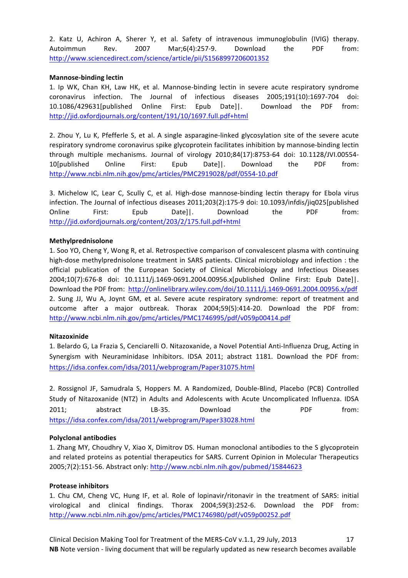2. Katz U, Achiron A, Sherer Y, et al. Safety of intravenous immunoglobulin (IVIG) therapy. Autoimmun Rev. 2007 Mar;6(4):257-9. Download the PDF from: http://www.sciencedirect.com/science/article/pii/S1568997206001352

## **Mannose-binding lectin**

1. Ip WK, Chan KH, Law HK, et al. Mannose-binding lectin in severe acute respiratory syndrome coronavirus infection. The Journal of infectious diseases 2005;191(10):1697-704 doi: 10.1086/429631[published Online First: Epub Date]|. Download the PDF from: http://jid.oxfordjournals.org/content/191/10/1697.full.pdf+html

2. Zhou Y, Lu K, Pfefferle S, et al. A single asparagine-linked glycosylation site of the severe acute respiratory syndrome coronavirus spike glycoprotein facilitates inhibition by mannose-binding lectin through multiple mechanisms. Journal of virology 2010;84(17):8753-64 doi: 10.1128/JVI.00554-10[published Online First: Epub Date]|. Download the PDF from: http://www.ncbi.nlm.nih.gov/pmc/articles/PMC2919028/pdf/0554-10.pdf

3. Michelow IC, Lear C, Scully C, et al. High-dose mannose-binding lectin therapy for Ebola virus infection. The Journal of infectious diseases 2011;203(2):175-9 doi: 10.1093/infdis/jiq025[published Online First: Epub Date]|. Download the PDF from: http://jid.oxfordjournals.org/content/203/2/175.full.pdf+html

### **Methylprednisolone**

1. Soo YO, Cheng Y, Wong R, et al. Retrospective comparison of convalescent plasma with continuing high-dose methylprednisolone treatment in SARS patients. Clinical microbiology and infection : the official publication of the European Society of Clinical Microbiology and Infectious Diseases 2004;10(7):676-8 doi: 10.1111/j.1469-0691.2004.00956.x[published Online First: Epub Date]|. Download the PDF from: http://onlinelibrary.wiley.com/doi/10.1111/j.1469-0691.2004.00956.x/pdf 2. Sung JJ, Wu A, Joynt GM, et al. Severe acute respiratory syndrome: report of treatment and outcome after a major outbreak. Thorax 2004;59(5):414-20. Download the PDF from: http://www.ncbi.nlm.nih.gov/pmc/articles/PMC1746995/pdf/v059p00414.pdf

## **Nitazoxinide**

1. Belardo G, La Frazia S, Cenciarelli O. Nitazoxanide, a Novel Potential Anti-Influenza Drug, Acting in Synergism with Neuraminidase Inhibitors. IDSA 2011; abstract 1181. Download the PDF from: https://idsa.confex.com/idsa/2011/webprogram/Paper31075.html

2. Rossignol JF, Samudrala S, Hoppers M. A Randomized, Double-Blind, Placebo (PCB) Controlled Study of Nitazoxanide (NTZ) in Adults and Adolescents with Acute Uncomplicated Influenza. IDSA 2011; abstract LB-35. Download the PDF from: https://idsa.confex.com/idsa/2011/webprogram/Paper33028.html

### **Polyclonal antibodies**

1. Zhang MY, Choudhry V, Xiao X, Dimitrov DS. Human monoclonal antibodies to the S glycoprotein and related proteins as potential therapeutics for SARS. Current Opinion in Molecular Therapeutics 2005;7(2):151-56. Abstract only: http://www.ncbi.nlm.nih.gov/pubmed/15844623

### **Protease inhibitors**

1. Chu CM, Cheng VC, Hung IF, et al. Role of lopinavir/ritonavir in the treatment of SARS: initial virological and clinical findings. Thorax 2004;59(3):252-6. Download the PDF from: http://www.ncbi.nlm.nih.gov/pmc/articles/PMC1746980/pdf/v059p00252.pdf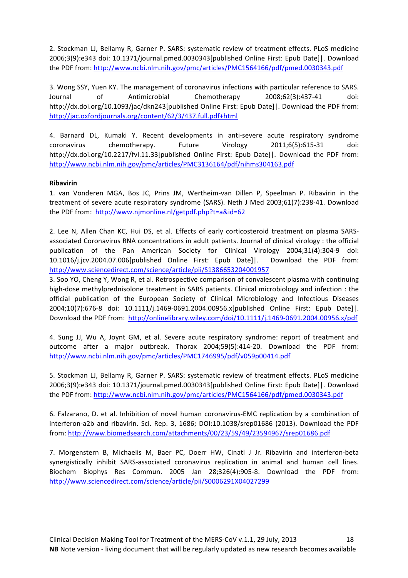2. Stockman LJ, Bellamy R, Garner P. SARS: systematic review of treatment effects. PLoS medicine 2006;3(9):e343 doi: 10.1371/journal.pmed.0030343[published Online First: Epub Date]]. Download the PDF from: http://www.ncbi.nlm.nih.gov/pmc/articles/PMC1564166/pdf/pmed.0030343.pdf

3. Wong SSY, Yuen KY. The management of coronavirus infections with particular reference to SARS. Journal of Antimicrobial Chemotherapy 2008;62(3):437-41 doi: http://dx.doi.org/10.1093/jac/dkn243[published Online First: Epub Date]|. Download the PDF from: http://jac.oxfordjournals.org/content/62/3/437.full.pdf+html

4. Barnard DL, Kumaki Y. Recent developments in anti-severe acute respiratory syndrome coronavirus chemotherapy. Future Virology 2011;6(5):615-31 doi: http://dx.doi.org/10.2217/fvl.11.33[published Online First: Epub Date]]. Download the PDF from: http://www.ncbi.nlm.nih.gov/pmc/articles/PMC3136164/pdf/nihms304163.pdf

## **Ribavirin**

1. van Vonderen MGA, Bos JC, Prins JM, Wertheim-van Dillen P, Speelman P. Ribavirin in the treatment of severe acute respiratory syndrome (SARS). Neth J Med 2003;61(7):238-41. Download the PDF from: http://www.njmonline.nl/getpdf.php?t=a&id=62

2. Lee N, Allen Chan KC, Hui DS, et al. Effects of early corticosteroid treatment on plasma SARSassociated Coronavirus RNA concentrations in adult patients. Journal of clinical virology : the official publication of the Pan American Society for Clinical Virology 2004;31(4):304-9 doi: 10.1016/j.jcv.2004.07.006[published Online First: Epub Date]|. Download the PDF from: http://www.sciencedirect.com/science/article/pii/S1386653204001957 

3. Soo YO, Cheng Y, Wong R, et al. Retrospective comparison of convalescent plasma with continuing high-dose methylprednisolone treatment in SARS patients. Clinical microbiology and infection : the official publication of the European Society of Clinical Microbiology and Infectious Diseases 2004;10(7):676-8 doi: 10.1111/j.1469-0691.2004.00956.x[published Online First: Epub Date]|. Download the PDF from: http://onlinelibrary.wiley.com/doi/10.1111/j.1469-0691.2004.00956.x/pdf

4. Sung JJ, Wu A, Joynt GM, et al. Severe acute respiratory syndrome: report of treatment and outcome after a major outbreak. Thorax 2004;59(5):414-20. Download the PDF from: http://www.ncbi.nlm.nih.gov/pmc/articles/PMC1746995/pdf/v059p00414.pdf

5. Stockman LJ, Bellamy R, Garner P. SARS: systematic review of treatment effects. PLoS medicine 2006;3(9):e343 doi: 10.1371/journal.pmed.0030343[published Online First: Epub Date]|. Download the PDF from: http://www.ncbi.nlm.nih.gov/pmc/articles/PMC1564166/pdf/pmed.0030343.pdf

6. Falzarano, D. et al. Inhibition of novel human coronavirus-EMC replication by a combination of interferon-a2b and ribavirin. Sci. Rep. 3, 1686; DOI:10.1038/srep01686 (2013). Download the PDF from: http://www.biomedsearch.com/attachments/00/23/59/49/23594967/srep01686.pdf

7. Morgenstern B, Michaelis M, Baer PC, Doerr HW, Cinatl J Jr. Ribavirin and interferon-beta synergistically inhibit SARS-associated coronavirus replication in animal and human cell lines. Biochem Biophys Res Commun. 2005 Jan 28;326(4):905-8. Download the PDF from: http://www.sciencedirect.com/science/article/pii/S0006291X04027299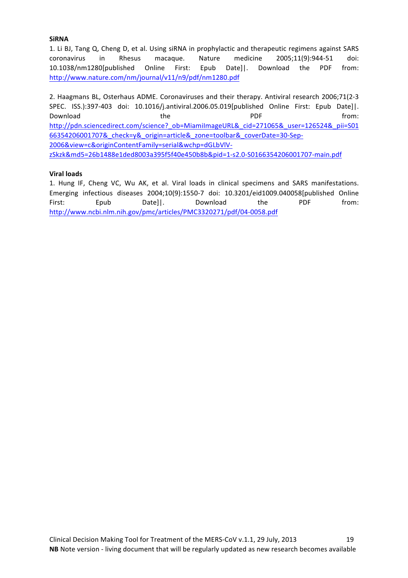## **SiRNA**

1. Li BJ, Tang Q, Cheng D, et al. Using siRNA in prophylactic and therapeutic regimens against SARS coronavirus in Rhesus macaque. Nature medicine 2005;11(9):944-51 doi: 10.1038/nm1280[published Online First: Epub Date]|. Download the PDF from: http://www.nature.com/nm/journal/v11/n9/pdf/nm1280.pdf

2. Haagmans BL, Osterhaus ADME. Coronaviruses and their therapy. Antiviral research 2006;71(2-3 SPEC. ISS.):397-403 doi: 10.1016/j.antiviral.2006.05.019[published Online First: Epub Date]|. Download **the the Reform of the COVID-T** PDF **from:** http://pdn.sciencedirect.com/science?\_ob=MiamiImageURL&\_cid=271065&\_user=126524&\_pii=S01 66354206001707&\_check=y&\_origin=article&\_zone=toolbar&\_coverDate=30-Sep-2006&view=c&originContentFamily=serial&wchp=dGLbVlVzSkzk&md5=26b1488e1ded8003a395f5f40e450b8b&pid=1-s2.0-S0166354206001707-main.pdf 

## **Viral loads**

1. Hung IF, Cheng VC, Wu AK, et al. Viral loads in clinical specimens and SARS manifestations. Emerging infectious diseases 2004;10(9):1550-7 doi: 10.3201/eid1009.040058[published Online First: Epub Date]|. Download the PDF from: http://www.ncbi.nlm.nih.gov/pmc/articles/PMC3320271/pdf/04-0058.pdf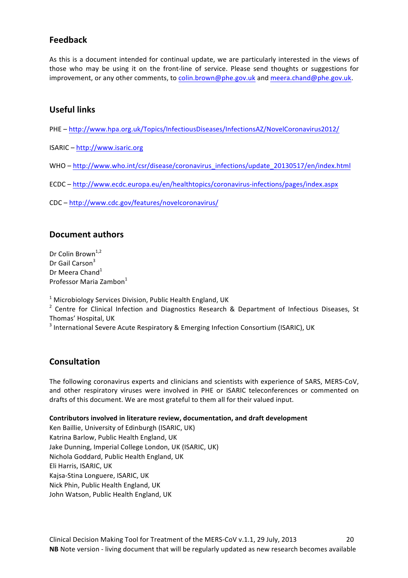## **Feedback**

As this is a document intended for continual update, we are particularly interested in the views of those who may be using it on the front-line of service. Please send thoughts or suggestions for improvement, or any other comments, to colin.brown@phe.gov.uk and meera.chand@phe.gov.uk.

## **Useful links**

PHE - http://www.hpa.org.uk/Topics/InfectiousDiseases/InfectionsAZ/NovelCoronavirus2012/

- ISARIC http://www.isaric.org
- WHO http://www.who.int/csr/disease/coronavirus\_infections/update\_20130517/en/index.html
- ECDC – http://www.ecdc.europa.eu/en/healthtopics/coronavirus-infections/pages/index.aspx
- CDC http://www.cdc.gov/features/novelcoronavirus/

## **Document authors**

Dr Colin Brown $1,2$ Dr Gail Carson<sup>3</sup> Dr Meera Chand<sup>1</sup> Professor Maria Zambon<sup>1</sup>

 $1$  Microbiology Services Division, Public Health England, UK

 $2$  Centre for Clinical Infection and Diagnostics Research & Department of Infectious Diseases, St Thomas' Hospital, UK

 $3$  International Severe Acute Respiratory & Emerging Infection Consortium (ISARIC), UK

## **Consultation**

The following coronavirus experts and clinicians and scientists with experience of SARS, MERS-CoV, and other respiratory viruses were involved in PHE or ISARIC teleconferences or commented on drafts of this document. We are most grateful to them all for their valued input.

## **Contributors involved in literature review, documentation, and draft development**

Ken Baillie, University of Edinburgh (ISARIC, UK) Katrina Barlow, Public Health England, UK Jake Dunning, Imperial College London, UK (ISARIC, UK) Nichola Goddard, Public Health England, UK Eli Harris, ISARIC, UK Kajsa-Stina Longuere, ISARIC, UK Nick Phin, Public Health England, UK John Watson, Public Health England, UK